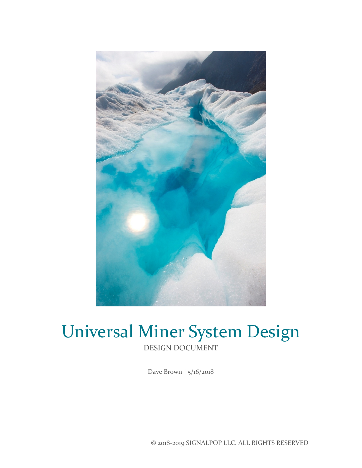

# Universal Miner System Design DESIGN DOCUMENT

Dave Brown | 5/16/2018

© 2018-2019 SIGNALPOP LLC. ALL RIGHTS RESERVED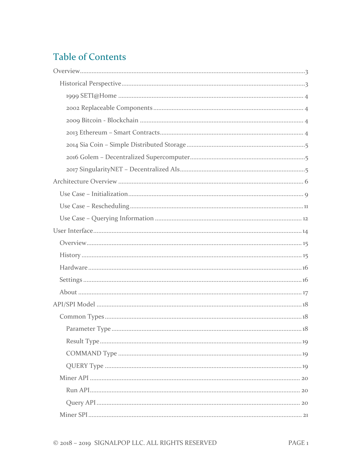# **Table of Contents**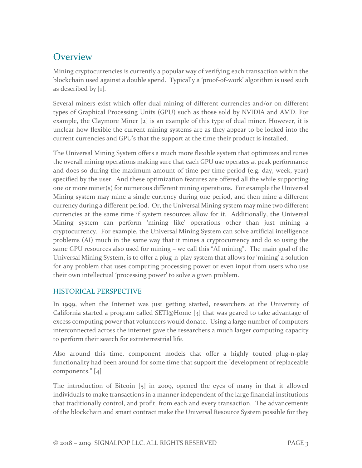# <span id="page-3-0"></span>**Overview**

Mining cryptocurrencies is currently a popular way of verifying each transaction within the blockchain used against a double spend. Typically a 'proof-of-work' algorithm is used such as described by [1].

Several miners exist which offer dual mining of different currencies and/or on different types of Graphical Processing Units (GPU) such as those sold by NVIDIA and AMD. For example, the Claymore Miner [2] is an example of this type of dual miner. However, it is unclear how flexible the current mining systems are as they appear to be locked into the current currencies and GPU's that the support at the time their product is installed.

The Universal Mining System offers a much more flexible system that optimizes and tunes the overall mining operations making sure that each GPU use operates at peak performance and does so during the maximum amount of time per time period (e.g. day, week, year) specified by the user. And these optimization features are offered all the while supporting one or more miner(s) for numerous different mining operations. For example the Universal Mining system may mine a single currency during one period, and then mine a different currency during a different period. Or, the Universal Mining system may mine two different currencies at the same time if system resources allow for it. Additionally, the Universal Mining system can perform 'mining like' operations other than just mining a cryptocurrency. For example, the Universal Mining System can solve artificial intelligence problems (AI) much in the same way that it mines a cryptocurrency and do so using the same GPU resources also used for mining – we call this "AI mining". The main goal of the Universal Mining System, is to offer a plug-n-play system that allows for 'mining' a solution for any problem that uses computing processing power or even input from users who use their own intellectual 'processing power' to solve a given problem.

# <span id="page-3-1"></span>HISTORICAL PERSPECTIVE

In 1999, when the Internet was just getting started, researchers at the University of California started a program called SETI@Home  $\lceil 3 \rceil$  that was geared to take advantage of excess computing power that volunteers would donate. Using a large number of computers interconnected across the internet gave the researchers a much larger computing capacity to perform their search for extraterrestrial life.

Also around this time, component models that offer a highly touted plug-n-play functionality had been around for some time that support the "development of replaceable components." [4]

The introduction of Bitcoin [5] in 2009, opened the eyes of many in that it allowed individuals to make transactions in a manner independent of the large financial institutions that traditionally control, and profit, from each and every transaction. The advancements of the blockchain and smart contract make the Universal Resource System possible for they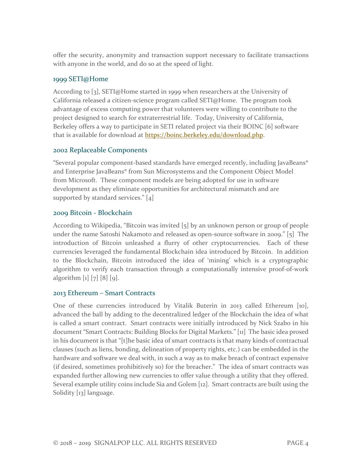offer the security, anonymity and transaction support necessary to facilitate transactions with anyone in the world, and do so at the speed of light.

#### <span id="page-4-0"></span>1999 SETI@Home

According to [3], SETI@Home started in 1999 when researchers at the University of California released a citizen-science program called SETI@Home. The program took advantage of excess computing power that volunteers were willing to contribute to the project designed to search for extraterrestrial life. Today, University of California, Berkeley offers a way to participate in SETI related project via their BOINC [6] software that is available for download at [https://boinc.berkeley.edu/download.php.](https://boinc.berkeley.edu/download.php)

#### <span id="page-4-1"></span>2002 Replaceable Components

"Several popular component-based standards have emerged recently, including JavaBeans® and Enterprise JavaBeans® from Sun Microsystems and the Component Object Model from Microsoft. These component models are being adopted for use in software development as they eliminate opportunities for architectural mismatch and are supported by standard services." [4]

#### <span id="page-4-2"></span>2009 Bitcoin - Blockchain

According to Wikipedia, "Bitcoin was invited [5] by an unknown person or group of people under the name Satoshi Nakamoto and released as open-source software in 2009." [5] The introduction of Bitcoin unleashed a flurry of other cryptocurrencies. Each of these currencies leveraged the fundamental Blockchain idea introduced by Bitcoin. In addition to the Blockchain, Bitcoin introduced the idea of 'mining' which is a cryptographic algorithm to verify each transaction through a computationally intensive proof-of-work algorithm [1] [7] [8] [9].

### <span id="page-4-3"></span>2013 Ethereum – Smart Contracts

One of these currencies introduced by Vitalik Buterin in 2013 called Ethereum [10], advanced the ball by adding to the decentralized ledger of the Blockchain the idea of what is called a smart contract. Smart contracts were initially introduced by Nick Szabo in his document "Smart Contracts: Building Blocks for Digital Markets." [11] The basic idea prosed in his document is that "[t]he basic idea of smart contracts is that many kinds of contractual clauses (such as liens, bonding, delineation of property rights, etc.) can be embedded in the hardware and software we deal with, in such a way as to make breach of contract expensive (if desired, sometimes prohibitively so) for the breacher." The idea of smart contracts was expanded further allowing new currencies to offer value through a utility that they offered. Several example utility coins include Sia and Golem [12]. Smart contracts are built using the Solidity [13] language.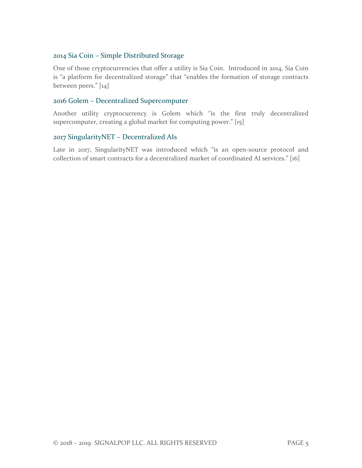## <span id="page-5-0"></span>2014 Sia Coin – Simple Distributed Storage

One of those cryptocurrencies that offer a utility is Sia Coin. Introduced in 2014, Sia Coin is "a platform for decentralized storage" that "enables the formation of storage contracts between peers." [14]

#### <span id="page-5-1"></span>2016 Golem – Decentralized Supercomputer

Another utility cryptocurrency is Golem which "is the first truly decentralized supercomputer, creating a global market for computing power." [15]

#### <span id="page-5-2"></span>2017 SingularityNET – Decentralized AIs

Late in 2017, SingularityNET was introduced which "is an open-source protocol and collection of smart contracts for a decentralized market of coordinated AI services." [16]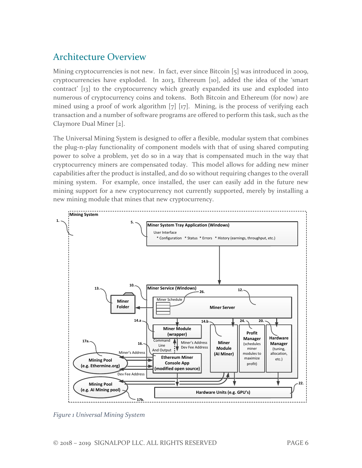# <span id="page-6-0"></span>Architecture Overview

Mining cryptocurrencies is not new. In fact, ever since Bitcoin [5] was introduced in 2009, cryptocurrencies have exploded. In 2013, Ethereum [10], added the idea of the 'smart contract' [13] to the cryptocurrency which greatly expanded its use and exploded into numerous of cryptocurrency coins and tokens. Both Bitcoin and Ethereum (for now) are mined using a proof of work algorithm [7] [17]. Mining, is the process of verifying each transaction and a number of software programs are offered to perform this task, such as the Claymore Dual Miner [2].

The Universal Mining System is designed to offer a flexible, modular system that combines the plug-n-play functionality of component models with that of using shared computing power to solve a problem, yet do so in a way that is compensated much in the way that cryptocurrency miners are compensated today. This model allows for adding new miner capabilities after the product is installed, and do so without requiring changes to the overall mining system. For example, once installed, the user can easily add in the future new mining support for a new cryptocurrency not currently supported, merely by installing a new mining module that mines that new cryptocurrency.



*Figure 1 Universal Mining System*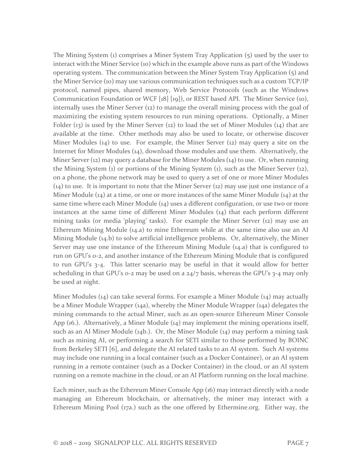The Mining System (1) comprises a Miner System Tray Application (5) used by the user to interact with the Miner Service (10) which in the example above runs as part of the Windows operating system. The communication between the Miner System Tray Application (5) and the Miner Service (10) may use various communication techniques such as a custom TCP/IP protocol, named pipes, shared memory, Web Service Protocols (such as the Windows Communication Foundation or WCF [18] [19]), or REST based API. The Miner Service (10), internally uses the Miner Server (12) to manage the overall mining process with the goal of maximizing the existing system resources to run mining operations. Optionally, a Miner Folder (13) is used by the Miner Server (12) to load the set of Miner Modules (14) that are available at the time. Other methods may also be used to locate, or otherwise discover Miner Modules  $(14)$  to use. For example, the Miner Server  $(12)$  may query a site on the Internet for Miner Modules (14), download those modules and use them. Alternatively, the Miner Server (12) may query a database for the Miner Modules (14) to use. Or, when running the Mining System (1) or portions of the Mining System (1), such as the Miner Server (12), on a phone, the phone network may be used to query a set of one or more Miner Modules  $(14)$  to use. It is important to note that the Miner Server  $(12)$  may use just one instance of a Miner Module (14) at a time, or one or more instances of the same Miner Module (14) at the same time where each Miner Module (14) uses a different configuration, or use two or more instances at the same time of different Miner Modules (14) that each perform different mining tasks (or media 'playing' tasks). For example the Miner Server (12) may use an Ethereum Mining Module (14.a) to mine Ethereum while at the same time also use an AI Mining Module (14.b) to solve artificial intelligence problems. Or, alternatively, the Miner Server may use one instance of the Ethereum Mining Module (14.a) that is configured to run on GPU's 0-2, and another instance of the Ethereum Mining Module that is configured to run GPU's 3-4. This latter scenario may be useful in that it would allow for better scheduling in that GPU's 0-2 may be used on a 24/7 basis, whereas the GPU's 3-4 may only be used at night.

Miner Modules (14) can take several forms. For example a Miner Module (14) may actually be a Miner Module Wrapper (14a), whereby the Miner Module Wrapper (14a) delegates the mining commands to the actual Miner, such as an open-source Ethereum Miner Console App (16.). Alternatively, a Miner Module (14) may implement the mining operations itself, such as an AI Miner Module (14b.). Or, the Miner Module (14) may perform a mining task such as mining AI, or performing a search for SETI similar to those performed by BOINC from Berkeley SETI [6], and delegate the AI related tasks to an AI system. Such AI systems may include one running in a local container (such as a Docker Container), or an AI system running in a remote container (such as a Docker Container) in the cloud, or an AI system running on a remote machine in the cloud, or an AI Platform running on the local machine.

Each miner, such as the Ethereum Miner Console App (16) may interact directly with a node managing an Ethereum blockchain, or alternatively, the miner may interact with a Ethereum Mining Pool (17a.) such as the one offered by Ethermine.org. Either way, the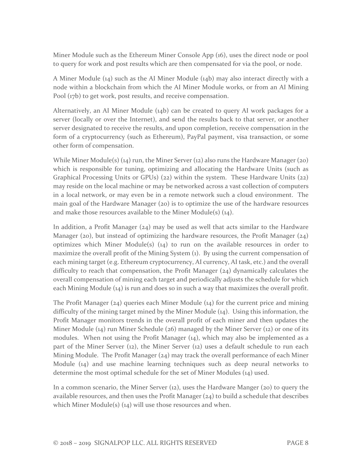Miner Module such as the Ethereum Miner Console App (16), uses the direct node or pool to query for work and post results which are then compensated for via the pool, or node.

A Miner Module (14) such as the AI Miner Module (14b) may also interact directly with a node within a blockchain from which the AI Miner Module works, or from an AI Mining Pool (17b) to get work, post results, and receive compensation.

Alternatively, an AI Miner Module (14b) can be created to query AI work packages for a server (locally or over the Internet), and send the results back to that server, or another server designated to receive the results, and upon completion, receive compensation in the form of a cryptocurrency (such as Ethereum), PayPal payment, visa transaction, or some other form of compensation.

While Miner Module(s) (14) run, the Miner Server (12) also runs the Hardware Manager (20) which is responsible for tuning, optimizing and allocating the Hardware Units (such as Graphical Processing Units or GPUs) (22) within the system. These Hardware Units (22) may reside on the local machine or may be networked across a vast collection of computers in a local network, or may even be in a remote network such a cloud environment. The main goal of the Hardware Manager (20) is to optimize the use of the hardware resources and make those resources available to the Miner Module(s) (14).

In addition, a Profit Manager  $(24)$  may be used as well that acts similar to the Hardware Manager (20), but instead of optimizing the hardware resources, the Profit Manager  $(24)$ optimizes which Miner Module(s)  $(14)$  to run on the available resources in order to maximize the overall profit of the Mining System (1). By using the current compensation of each mining target (e.g. Ethereum cryptocurrency, AI currency, AI task, etc.) and the overall difficulty to reach that compensation, the Profit Manager (24) dynamically calculates the overall compensation of mining each target and periodically adjusts the schedule for which each Mining Module (14) is run and does so in such a way that maximizes the overall profit.

The Profit Manager (24) queries each Miner Module (14) for the current price and mining difficulty of the mining target mined by the Miner Module (14). Using this information, the Profit Manager monitors trends in the overall profit of each miner and then updates the Miner Module (14) run Miner Schedule (26) managed by the Miner Server (12) or one of its modules. When not using the Profit Manager (14), which may also be implemented as a part of the Miner Server (12), the Miner Server (12) uses a default schedule to run each Mining Module. The Profit Manager (24) may track the overall performance of each Miner Module (14) and use machine learning techniques such as deep neural networks to determine the most optimal schedule for the set of Miner Modules (14) used.

In a common scenario, the Miner Server  $(12)$ , uses the Hardware Manger  $(20)$  to query the available resources, and then uses the Profit Manager  $(24)$  to build a schedule that describes which Miner Module(s) (14) will use those resources and when.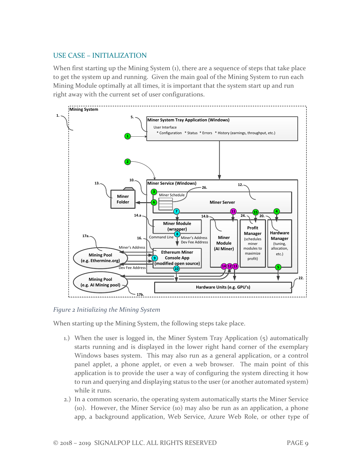# <span id="page-9-0"></span>USE CASE – INITIALIZATION

When first starting up the Mining System (1), there are a sequence of steps that take place to get the system up and running. Given the main goal of the Mining System to run each Mining Module optimally at all times, it is important that the system start up and run right away with the current set of user configurations.



*Figure 2 Initializing the Mining System*

When starting up the Mining System, the following steps take place.

- 1.) When the user is logged in, the Miner System Tray Application (5) automatically starts running and is displayed in the lower right hand corner of the exemplary Windows bases system. This may also run as a general application, or a control panel applet, a phone applet, or even a web browser. The main point of this application is to provide the user a way of configuring the system directing it how to run and querying and displaying status to the user (or another automated system) while it runs.
- 2.) In a common scenario, the operating system automatically starts the Miner Service (10). However, the Miner Service (10) may also be run as an application, a phone app, a background application, Web Service, Azure Web Role, or other type of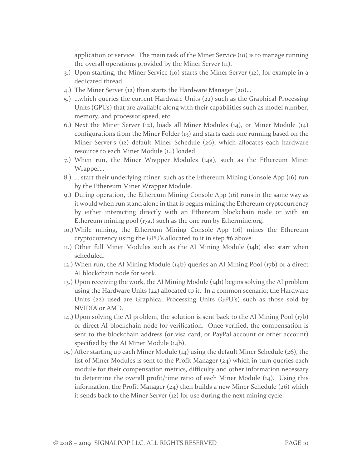application or service. The main task of the Miner Service (10) is to manage running the overall operations provided by the Miner Server (11).

- 3.) Upon starting, the Miner Service (10) starts the Miner Server (12), for example in a dedicated thread.
- 4.) The Miner Server (12) then starts the Hardware Manager (20)…
- 5.) …which queries the current Hardware Units (22) such as the Graphical Processing Units (GPUs) that are available along with their capabilities such as model number, memory, and processor speed, etc.
- 6.) Next the Miner Server (12), loads all Miner Modules (14), or Miner Module (14) configurations from the Miner Folder (13) and starts each one running based on the Miner Server's (12) default Miner Schedule (26), which allocates each hardware resource to each Miner Module (14) loaded.
- 7.) When run, the Miner Wrapper Modules (14a), such as the Ethereum Miner Wrapper…
- 8.) … start their underlying miner, such as the Ethereum Mining Console App (16) run by the Ethereum Miner Wrapper Module.
- 9.) During operation, the Ethereum Mining Console App (16) runs in the same way as it would when run stand alone in that is begins mining the Ethereum cryptocurrency by either interacting directly with an Ethereum blockchain node or with an Ethereum mining pool (17a.) such as the one run by Ethermine.org.
- 10.)While mining, the Ethereum Mining Console App (16) mines the Ethereum cryptocurrency using the GPU's allocated to it in step #6 above.
- 11.) Other full Miner Modules such as the AI Mining Module (14b) also start when scheduled.
- 12.) When run, the AI Mining Module (14b) queries an AI Mining Pool (17b) or a direct AI blockchain node for work.
- 13.) Upon receiving the work, the AI Mining Module (14b) begins solving the AI problem using the Hardware Units (22) allocated to it. In a common scenario, the Hardware Units (22) used are Graphical Processing Units (GPU's) such as those sold by NVIDIA or AMD.
- 14.) Upon solving the AI problem, the solution is sent back to the AI Mining Pool (17b) or direct AI blockchain node for verification. Once verified, the compensation is sent to the blockchain address (or visa card, or PayPal account or other account) specified by the AI Miner Module (14b).
- 15.) After starting up each Miner Module (14) using the default Miner Schedule (26), the list of Miner Modules is sent to the Profit Manager (24) which in turn queries each module for their compensation metrics, difficulty and other information necessary to determine the overall profit/time ratio of each Miner Module (14). Using this information, the Profit Manager (24) then builds a new Miner Schedule (26) which it sends back to the Miner Server (12) for use during the next mining cycle.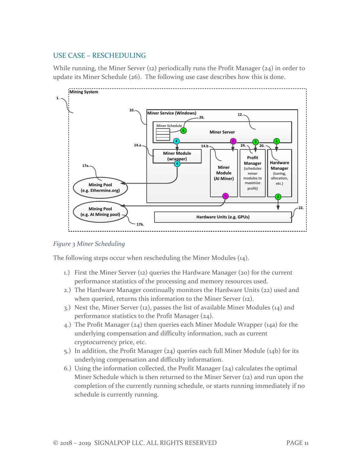## <span id="page-11-0"></span>USE CASE – RESCHEDULING

While running, the Miner Server (12) periodically runs the Profit Manager (24) in order to update its Miner Schedule (26). The following use case describes how this is done.



#### *Figure 3 Miner Scheduling*

The following steps occur when rescheduling the Miner Modules (14).

- 1.) First the Miner Server (12) queries the Hardware Manager (20) for the current performance statistics of the processing and memory resources used.
- 2.) The Hardware Manager continually monitors the Hardware Units (22) used and when queried, returns this information to the Miner Server (12).
- 3.) Next the, Miner Server (12), passes the list of available Miner Modules (14) and performance statistics to the Profit Manager (24).
- 4.) The Profit Manager (24) then queries each Miner Module Wrapper (14a) for the underlying compensation and difficulty information, such as current cryptocurrency price, etc.
- 5.) In addition, the Profit Manager (24) queries each full Miner Module (14b) for its underlying compensation and difficulty information.
- 6.) Using the information collected, the Profit Manager  $(24)$  calculates the optimal Miner Schedule which is then returned to the Miner Server (12) and run upon the completion of the currently running schedule, or starts running immediately if no schedule is currently running.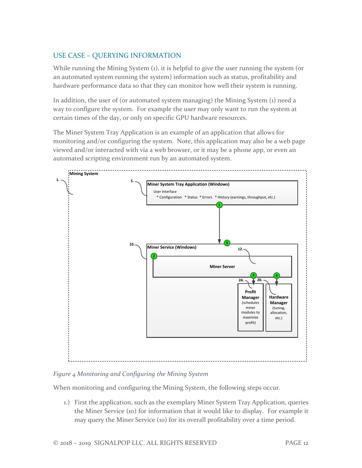# <span id="page-12-0"></span>USE CASE – QUERYING INFORMATION

While running the Mining System (1), it is helpful to give the user running the system (or an automated system running the system) information such as status, profitability and hardware performance data so that they can monitor how well their system is running.

In addition, the user of (or automated system managing) the Mining System (1) need a way to configure the system. For example the user may only want to run the system at certain times of the day, or only on specific GPU hardware resources.

The Miner System Tray Application is an example of an application that allows for monitoring and/or configuring the system. Note, this application may also be a web page viewed and/or interacted with via a web browser, or it may be a phone app, or even an automated scripting environment run by an automated system.



### *Figure 4 Monitoring and Configuring the Mining System*

When monitoring and configuring the Mining System, the following steps occur.

1.) First the application, such as the exemplary Miner System Tray Application, queries the Miner Service (10) for information that it would like to display. For example it may query the Miner Service (10) for its overall profitability over a time period.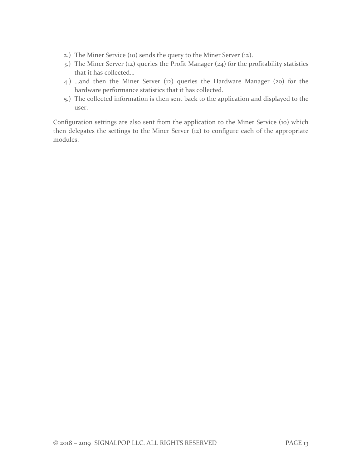- 2.) The Miner Service (10) sends the query to the Miner Server (12).
- 3.) The Miner Server (12) queries the Profit Manager (24) for the profitability statistics that it has collected…
- 4.) …and then the Miner Server (12) queries the Hardware Manager (20) for the hardware performance statistics that it has collected.
- 5.) The collected information is then sent back to the application and displayed to the user.

Configuration settings are also sent from the application to the Miner Service (10) which then delegates the settings to the Miner Server (12) to configure each of the appropriate modules.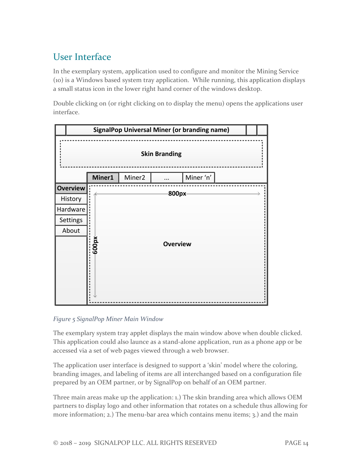# <span id="page-14-0"></span>User Interface

In the exemplary system, application used to configure and monitor the Mining Service (10) is a Windows based system tray application. While running, this application displays a small status icon in the lower right hand corner of the windows desktop.

Double clicking on (or right clicking on to display the menu) opens the applications user interface.



### *Figure 5 SignalPop Miner Main Window*

The exemplary system tray applet displays the main window above when double clicked. This application could also launce as a stand-alone application, run as a phone app or be accessed via a set of web pages viewed through a web browser.

The application user interface is designed to support a 'skin' model where the coloring, branding images, and labeling of items are all interchanged based on a configuration file prepared by an OEM partner, or by SignalPop on behalf of an OEM partner.

Three main areas make up the application: 1.) The skin branding area which allows OEM partners to display logo and other information that rotates on a schedule thus allowing for more information; 2.) The menu-bar area which contains menu items; 3.) and the main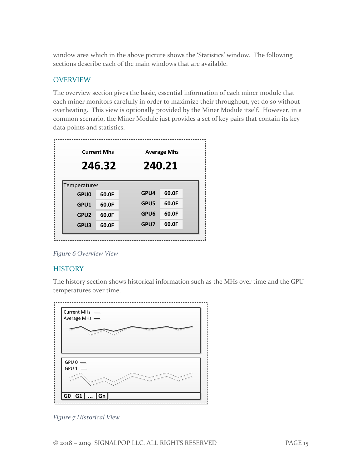window area which in the above picture shows the 'Statistics' window. The following sections describe each of the main windows that are available.

### <span id="page-15-0"></span>OVERVIEW

The overview section gives the basic, essential information of each miner module that each miner monitors carefully in order to maximize their throughput, yet do so without overheating. This view is optionally provided by the Miner Module itself. However, in a common scenario, the Miner Module just provides a set of key pairs that contain its key data points and statistics.

|                  | <b>Current Mhs</b><br>246.32 |      | <b>Average Mhs</b><br>240.21 |
|------------------|------------------------------|------|------------------------------|
| Temperatures     |                              |      |                              |
| <b>GPU0</b>      | 60.0F                        | GPU4 | 60.0F                        |
| GPU1             | 60.0F                        | GPU5 | 60.0F                        |
| GPU <sub>2</sub> | 60.0F                        | GPU6 | 60.0F                        |
| GPU3             | 60.0F                        | GPU7 | 60.0F                        |

*Figure 6 Overview View*

### <span id="page-15-1"></span>**HISTORY**

The history section shows historical information such as the MHs over time and the GPU temperatures over time.



*Figure 7 Historical View*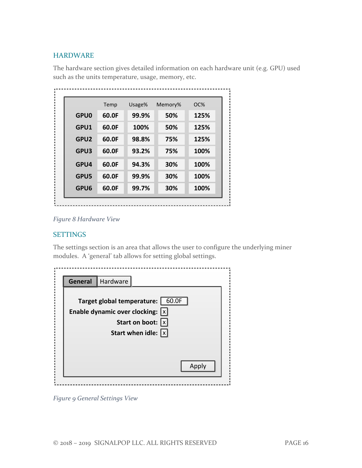## <span id="page-16-0"></span>HARDWARE

The hardware section gives detailed information on each hardware unit (e.g. GPU) used such as the units temperature, usage, memory, etc.

|                  | Temp  | Usage% | Memory% | OC%  |
|------------------|-------|--------|---------|------|
| <b>GPU0</b>      | 60.0F | 99.9%  | 50%     | 125% |
| GPU1             | 60.0F | 100%   | 50%     | 125% |
| GPU <sub>2</sub> | 60.0F | 98.8%  | 75%     | 125% |
| GPU3             | 60.0F | 93.2%  | 75%     | 100% |
| GPU4             | 60.0F | 94.3%  | 30%     | 100% |
| GPU5             | 60.0F | 99.9%  | 30%     | 100% |
| GPU6             | 60.0F | 99.7%  | 30%     | 100% |

*Figure 8 Hardware View*

#### <span id="page-16-1"></span>**SETTINGS**

The settings section is an area that allows the user to configure the underlying miner modules. A 'general' tab allows for setting global settings.

| General | Hardware                            |                                      |       |
|---------|-------------------------------------|--------------------------------------|-------|
|         | Target global temperature:   60.0F  |                                      |       |
|         | Enable dynamic over clocking: $ x $ |                                      |       |
|         |                                     | Start on boot: $ x $                 |       |
|         |                                     | Start when idle: $\lfloor x \rfloor$ |       |
|         |                                     |                                      |       |
|         |                                     |                                      |       |
|         |                                     |                                      | Apply |

*Figure 9 General Settings View*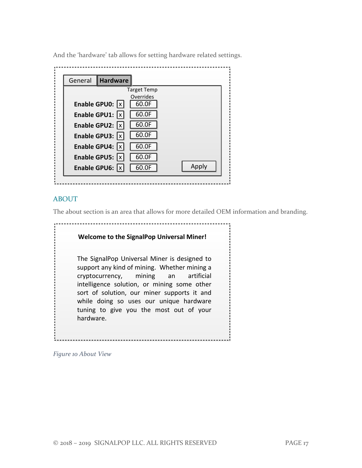General **Hardware Enable GPU0:**  $\boxed{x}$ Enable GPU1: X Enable GPU2:  $\overline{x}$ **Enable GPU3:** X **Enable GPU4:**  $\boxed{x}$ Enable GPU5: X Enable GPU6: X 60.0F 60.0F 60.0F 60.0F 60.0F 60.0F 60.0F Target Temp Overrides Apply

And the 'hardware' tab allows for setting hardware related settings.

### <span id="page-17-0"></span>ABOUT

The about section is an area that allows for more detailed OEM information and branding.

| <b>Welcome to the SignalPop Universal Miner!</b>                                                                                                                                                                                                                                                                                      |
|---------------------------------------------------------------------------------------------------------------------------------------------------------------------------------------------------------------------------------------------------------------------------------------------------------------------------------------|
| The SignalPop Universal Miner is designed to<br>support any kind of mining. Whether mining a<br>cryptocurrency, mining an artificial<br>intelligence solution, or mining some other<br>sort of solution, our miner supports it and<br>while doing so uses our unique hardware<br>tuning to give you the most out of your<br>hardware. |

*Figure 10 About View*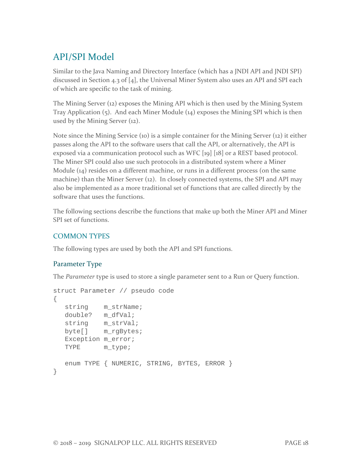# <span id="page-18-0"></span>API/SPI Model

Similar to the Java Naming and Directory Interface (which has a JNDI API and JNDI SPI) discussed in Section 4.3 of [4], the Universal Miner System also uses an API and SPI each of which are specific to the task of mining.

The Mining Server (12) exposes the Mining API which is then used by the Mining System Tray Application (5). And each Miner Module (14) exposes the Mining SPI which is then used by the Mining Server (12).

Note since the Mining Service (10) is a simple container for the Mining Server (12) it either passes along the API to the software users that call the API, or alternatively, the API is exposed via a communication protocol such as WFC [19] [18] or a REST based protocol. The Miner SPI could also use such protocols in a distributed system where a Miner Module  $(14)$  resides on a different machine, or runs in a different process (on the same machine) than the Miner Server (12). In closely connected systems, the SPI and API may also be implemented as a more traditional set of functions that are called directly by the software that uses the functions.

The following sections describe the functions that make up both the Miner API and Miner SPI set of functions.

# <span id="page-18-1"></span>COMMON TYPES

The following types are used by both the API and SPI functions.

# <span id="page-18-2"></span>Parameter Type

The *Parameter* type is used to store a single parameter sent to a Run or Query function.

```
struct Parameter // pseudo code
{
  string m strName;
   double? m_dfVal;
   string m_strVal;
   byte[] m_rgBytes;
  Exception m error;
   TYPE m_type;
   enum TYPE { NUMERIC, STRING, BYTES, ERROR }
}
```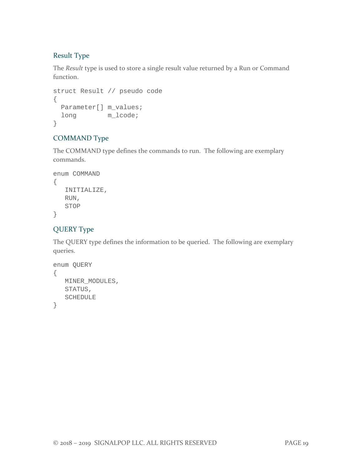# <span id="page-19-0"></span>Result Type

The *Result* type is used to store a single result value returned by a Run or Command function.

```
struct Result // pseudo code
{
  Parameter[] m_values;
 long m lcode;
}
```
# <span id="page-19-1"></span>COMMAND Type

The COMMAND type defines the commands to run. The following are exemplary commands.

```
enum COMMAND
\{ INITIALIZE,
    RUN,
    STOP
}
```
# <span id="page-19-2"></span>QUERY Type

The QUERY type defines the information to be queried. The following are exemplary queries.

```
enum QUERY
{
    MINER_MODULES,
    STATUS,
    SCHEDULE
}
```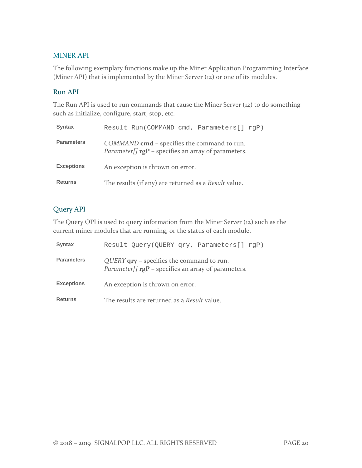### <span id="page-20-0"></span>MINER API

The following exemplary functions make up the Miner Application Programming Interface (Miner API) that is implemented by the Miner Server (12) or one of its modules.

#### <span id="page-20-1"></span>Run API

The Run API is used to run commands that cause the Miner Server (12) to do something such as initialize, configure, start, stop, etc.

| <b>Syntax</b>     | Result Run(COMMAND cmd, Parameters[] rqP)                                                                            |
|-------------------|----------------------------------------------------------------------------------------------------------------------|
| <b>Parameters</b> | COMMAND cmd – specifies the command to run.<br><i>Parameter[]</i> $\mathbf{rgP}$ – specifies an array of parameters. |
| <b>Exceptions</b> | An exception is thrown on error.                                                                                     |
| <b>Returns</b>    | The results (if any) are returned as a Result value.                                                                 |

# <span id="page-20-2"></span>Query API

The Query QPI is used to query information from the Miner Server (12) such as the current miner modules that are running, or the status of each module.

| <b>Syntax</b>     | Result Query(QUERY qry, Parameters[] rgP)                                                                                 |
|-------------------|---------------------------------------------------------------------------------------------------------------------------|
| <b>Parameters</b> | QUERY <b>qry</b> – specifies the command to run.<br><i>Parameter[]</i> $\mathbf{rgP}$ – specifies an array of parameters. |
| <b>Exceptions</b> | An exception is thrown on error.                                                                                          |
| <b>Returns</b>    | The results are returned as a Result value.                                                                               |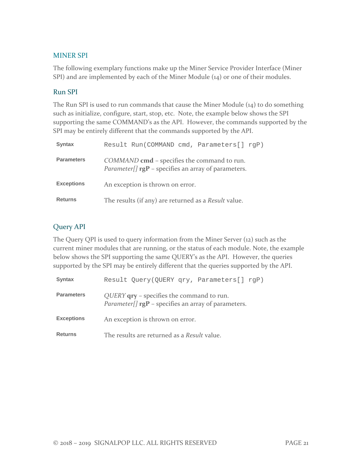#### <span id="page-21-0"></span>MINER SPI

The following exemplary functions make up the Miner Service Provider Interface (Miner SPI) and are implemented by each of the Miner Module (14) or one of their modules.

#### <span id="page-21-1"></span>Run SPI

The Run SPI is used to run commands that cause the Miner Module (14) to do something such as initialize, configure, start, stop, etc. Note, the example below shows the SPI supporting the same COMMAND's as the API. However, the commands supported by the SPI may be entirely different that the commands supported by the API.

| Syntax            | Result Run(COMMAND cmd, Parameters[] rgP)                                                                            |
|-------------------|----------------------------------------------------------------------------------------------------------------------|
| <b>Parameters</b> | COMMAND cmd – specifies the command to run.<br><i>Parameter[]</i> $\mathbf{rgP}$ – specifies an array of parameters. |
| <b>Exceptions</b> | An exception is thrown on error.                                                                                     |
| <b>Returns</b>    | The results (if any) are returned as a Result value.                                                                 |

## <span id="page-21-2"></span>Query API

The Query QPI is used to query information from the Miner Server (12) such as the current miner modules that are running, or the status of each module. Note, the example below shows the SPI supporting the same QUERY's as the API. However, the queries supported by the SPI may be entirely different that the queries supported by the API.

| <b>Syntax</b>     | Result Query(QUERY qry, Parameters[] rgP)                                                                                   |
|-------------------|-----------------------------------------------------------------------------------------------------------------------------|
| <b>Parameters</b> | QUERY <b>qry</b> – specifies the command to run.<br><i>Parameter</i> $\iint$ <b>rgP</b> – specifies an array of parameters. |
| <b>Exceptions</b> | An exception is thrown on error.                                                                                            |
| <b>Returns</b>    | The results are returned as a <i>Result</i> value.                                                                          |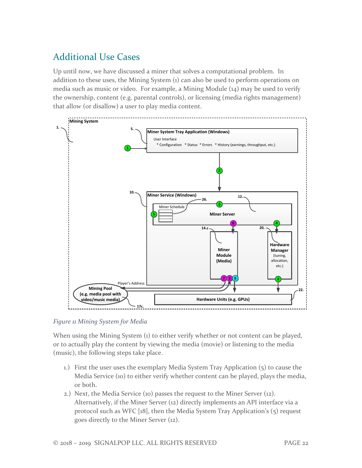# <span id="page-22-0"></span>Additional Use Cases

Up until now, we have discussed a miner that solves a computational problem. In addition to these uses, the Mining System (1) can also be used to perform operations on media such as music or video. For example, a Mining Module (14) may be used to verify the ownership, content (e.g. parental controls), or licensing (media rights management) that allow (or disallow) a user to play media content.



*Figure 11 Mining System for Media*

When using the Mining System (1) to either verify whether or not content can be played, or to actually play the content by viewing the media (movie) or listening to the media (music), the following steps take place.

- 1.) First the user uses the exemplary Media System Tray Application (5) to cause the Media Service (10) to either verify whether content can be played, plays the media, or both.
- 2.) Next, the Media Service (10) passes the request to the Miner Server (12). Alternatively, if the Miner Server (12) directly implements an API interface via a protocol such as WFC [18], then the Media System Tray Application's (5) request goes directly to the Miner Server (12).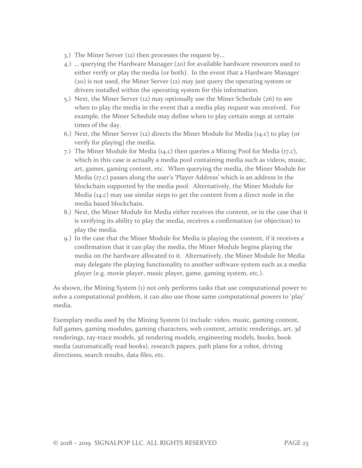- 3.) The Miner Server (12) then processes the request by…
- 4.) … querying the Hardware Manager (20) for available hardware resources used to either verify or play the media (or both). In the event that a Hardware Manager (20) is not used, the Miner Server (12) may just query the operating system or drivers installed within the operating system for this information.
- 5.) Next, the Miner Server (12) may optionally use the Miner Schedule (26) to see when to play the media in the event that a media play request was received. For example, the Miner Schedule may define when to play certain songs at certain times of the day.
- 6.) Next, the Miner Server (12) directs the Miner Module for Media (14.c) to play (or verify for playing) the media.
- 7.) The Miner Module for Media (14.c) then queries a Mining Pool for Media (17.c), which in this case is actually a media pool containing media such as videos, music, art, games, gaming content, etc. When querying the media, the Miner Module for Media (17.c) passes along the user's 'Player Address' which is an address in the blockchain supported by the media pool. Alternatively, the Miner Module for Media (14.c) may use similar steps to get the content from a direct node in the media based blockchain.
- 8.) Next, the Miner Module for Media either receives the content, or in the case that it is verifying its ability to play the media, receives a confirmation (or objection) to play the media.
- 9.) In the case that the Miner Module for Media is playing the content, if it receives a confirmation that it can play the media, the Miner Module begins playing the media on the hardware allocated to it. Alternatively, the Miner Module for Media may delegate the playing functionality to another software system such as a media player (e.g. movie player, music player, game, gaming system, etc.).

As shown, the Mining System (1) not only performs tasks that use computational power to solve a computational problem, it can also use those same computational powers to 'play' media.

Exemplary media used by the Mining System (1) include: video, music, gaming content, full games, gaming modules, gaming characters, web content, artistic renderings, art, 3d renderings, ray-trace models, 3d rendering models, engineering models, books, book media (automatically read books), research papers, path plans for a robot, driving directions, search results, data files, etc.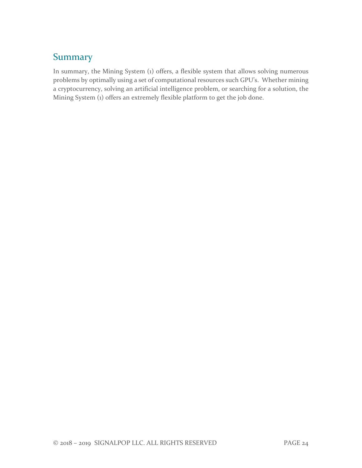# <span id="page-24-0"></span>**Summary**

In summary, the Mining System (1) offers, a flexible system that allows solving numerous problems by optimally using a set of computational resources such GPU's. Whether mining a cryptocurrency, solving an artificial intelligence problem, or searching for a solution, the Mining System (1) offers an extremely flexible platform to get the job done.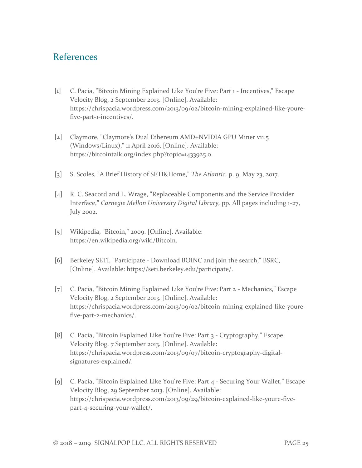# <span id="page-25-0"></span>References

- [1] C. Pacia, "Bitcoin Mining Explained Like You're Five: Part 1 Incentives," Escape Velocity Blog, 2 September 2013. [Online]. Available: https://chrispacia.wordpress.com/2013/09/02/bitcoin-mining-explained-like-yourefive-part-1-incentives/.
- [2] Claymore, "Claymore's Dual Ethereum AMD+NVIDIA GPU Miner v11.5 (Windows/Linux)," 11 April 2016. [Online]. Available: https://bitcointalk.org/index.php?topic=1433925.0.
- [3] S. Scoles, "A Brief History of SETI&Home," *The Atlantic,* p. 9, May 23, 2017.
- [4] R. C. Seacord and L. Wrage, "Replaceable Components and the Service Provider Interface," *Carnegie Mellon University Digital Library,* pp. All pages including 1-27, July 2002.
- [5] Wikipedia, "Bitcoin," 2009. [Online]. Available: https://en.wikipedia.org/wiki/Bitcoin.
- [6] Berkeley SETI, "Participate Download BOINC and join the search," BSRC, [Online]. Available: https://seti.berkeley.edu/participate/.
- [7] C. Pacia, "Bitcoin Mining Explained Like You're Five: Part 2 Mechanics," Escape Velocity Blog, 2 September 2013. [Online]. Available: https://chrispacia.wordpress.com/2013/09/02/bitcoin-mining-explained-like-yourefive-part-2-mechanics/.
- [8] C. Pacia, "Bitcoin Explained Like You're Five: Part 3 Cryptography," Escape Velocity Blog, 7 September 2013. [Online]. Available: https://chrispacia.wordpress.com/2013/09/07/bitcoin-cryptography-digitalsignatures-explained/.
- [9] C. Pacia, "Bitcoin Explained Like You're Five: Part 4 Securing Your Wallet," Escape Velocity Blog, 29 September 2013. [Online]. Available: https://chrispacia.wordpress.com/2013/09/29/bitcoin-explained-like-youre-fivepart-4-securing-your-wallet/.